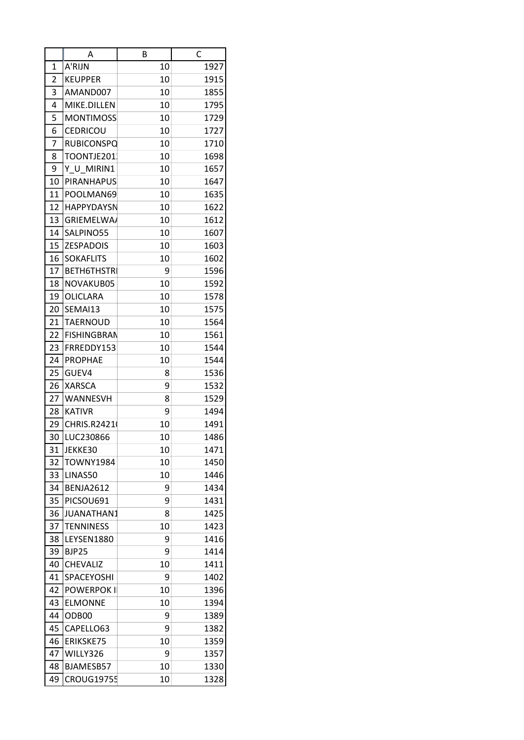|                | Α                  | B      | C    |
|----------------|--------------------|--------|------|
| 1              | A'RIJN             | 10     | 1927 |
| $\overline{2}$ | <b>KEUPPER</b>     | 10     | 1915 |
| 3              | AMAND007           | 10     | 1855 |
| 4              | MIKE.DILLEN        | 10     | 1795 |
| 5              | <b>MONTIMOSS</b>   | 10     | 1729 |
| 6              | CEDRICOU           | 10     | 1727 |
| 7              | <b>RUBICONSPQ</b>  | 10     | 1710 |
| 8              | TOONTJE201         | 10     | 1698 |
| 9              | Y U MIRIN1         | 10     | 1657 |
| 10             | <b>PIRANHAPUS</b>  | 10     | 1647 |
| 11             | POOLMAN69          | 10     | 1635 |
| 12             | <b>HAPPYDAYSN</b>  | 10     | 1622 |
| 13             | <b>GRIEMELWA/</b>  | 10     | 1612 |
| 14             | SALPINO55          | 10     | 1607 |
| 15             | <b>ZESPADOIS</b>   | 10     | 1603 |
| 16             | <b>SOKAFLITS</b>   | 10     | 1602 |
| 17             | <b>BETH6THSTRI</b> | 9      | 1596 |
| 18             | NOVAKUB05          | 10     | 1592 |
| 19             | <b>OLICLARA</b>    | 10     | 1578 |
| 20             | SEMAI13            | 10     | 1575 |
| 21             | TAERNOUD           | 10     | 1564 |
| 22             | <b>FISHINGBRAN</b> | 10     | 1561 |
| 23             | FRREDDY153         | 10     | 1544 |
| 24             | <b>PROPHAE</b>     | 10     | 1544 |
| 25             | GUEV4              | 8      | 1536 |
| 26             | <b>XARSCA</b>      | 9      | 1532 |
| 27             | <b>WANNESVH</b>    |        | 1529 |
| 28             | <b>KATIVR</b>      | 8<br>9 |      |
| 29             | CHRIS.R24210       |        | 1494 |
|                |                    | 10     | 1491 |
| 30             | LUC230866          | 10     | 1486 |
| 31             | JEKKE30            | 10     | 1471 |
| 32             | <b>TOWNY1984</b>   | 10     | 1450 |
| 33             | LINAS50            | 10     | 1446 |
| 34             | <b>BENJA2612</b>   | 9      | 1434 |
| 35             | PICSOU691          | 9      | 1431 |
| 36             | <b>JUANATHAN1</b>  | 8      | 1425 |
| 37             | <b>TENNINESS</b>   | 10     | 1423 |
| 38             | LEYSEN1880         | 9      | 1416 |
| 39             | <b>BJP25</b>       | 9      | 1414 |
| 40             | CHEVALIZ           | 10     | 1411 |
| 41             | SPACEYOSHI         | 9      | 1402 |
| 42             | <b>POWERPOK II</b> | 10     | 1396 |
| 43             | <b>ELMONNE</b>     | 10     | 1394 |
| 44             | ODB00              | 9      | 1389 |
| 45             | CAPELLO63          | 9      | 1382 |
| 46             | ERIKSKE75          | 10     | 1359 |
| 47             | WILLY326           | 9      | 1357 |
| 48             | BJAMESB57          | 10     | 1330 |
| 49             | <b>CROUG19755</b>  | 10     | 1328 |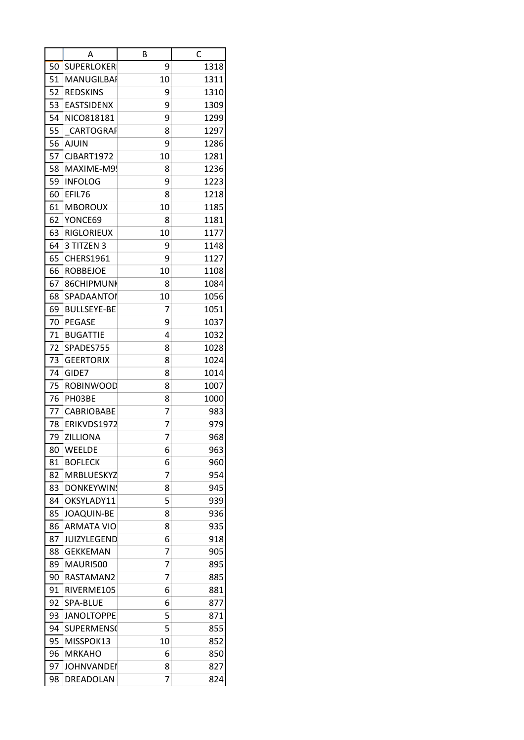|    | Α                  | B  | C    |
|----|--------------------|----|------|
| 50 | <b>SUPERLOKER</b>  | 9  | 1318 |
| 51 | MANUGILBAI         | 10 | 1311 |
| 52 | <b>REDSKINS</b>    | 9  | 1310 |
| 53 | <b>EASTSIDENX</b>  | 9  | 1309 |
| 54 | NICO818181         | 9  | 1299 |
| 55 | CARTOGRAF          | 8  | 1297 |
| 56 | <b>AJUIN</b>       | 9  | 1286 |
| 57 | <b>CJBART1972</b>  | 10 | 1281 |
| 58 | MAXIME-M9!         | 8  | 1236 |
| 59 | <b>INFOLOG</b>     | 9  | 1223 |
| 60 | EFIL76             | 8  | 1218 |
| 61 | <b>MBOROUX</b>     | 10 | 1185 |
| 62 | YONCE69            | 8  | 1181 |
| 63 | <b>RIGLORIEUX</b>  | 10 | 1177 |
| 64 | 3 TITZEN 3         | 9  | 1148 |
| 65 | <b>CHERS1961</b>   | 9  | 1127 |
| 66 | <b>ROBBEJOE</b>    | 10 | 1108 |
| 67 | 86CHIPMUNK         | 8  | 1084 |
| 68 | SPADAANTOI         | 10 | 1056 |
| 69 | <b>BULLSEYE-BE</b> | 7  | 1051 |
| 70 | <b>PEGASE</b>      | 9  | 1037 |
| 71 | <b>BUGATTIE</b>    | 4  | 1032 |
| 72 | SPADES755          | 8  | 1028 |
| 73 | <b>GEERTORIX</b>   | 8  | 1024 |
| 74 | GIDE7              | 8  | 1014 |
| 75 | <b>ROBINWOOD</b>   | 8  | 1007 |
| 76 | PH03BE             | 8  | 1000 |
| 77 | <b>CABRIOBABE</b>  | 7  | 983  |
| 78 | ERIKVDS1972        | 7  | 979  |
| 79 | <b>ZILLIONA</b>    | 7  | 968  |
| 80 | <b>WEELDE</b>      | 6  | 963  |
| 81 | <b>BOFLECK</b>     | 6  | 960  |
| 82 | MRBLUESKYZ         | 7  | 954  |
| 83 | <b>DONKEYWINS</b>  | 8  | 945  |
| 84 | OKSYLADY11         | 5  | 939  |
| 85 | <b>JOAQUIN-BE</b>  | 8  | 936  |
| 86 | <b>ARMATA VIO</b>  | 8  | 935  |
| 87 | <b>JUIZYLEGEND</b> | 6  | 918  |
| 88 | <b>GEKKEMAN</b>    | 7  | 905  |
| 89 | MAURI500           | 7  | 895  |
| 90 | RASTAMAN2          | 7  | 885  |
| 91 | RIVERME105         | 6  | 881  |
| 92 | SPA-BLUE           | 6  | 877  |
| 93 | <b>JANOLTOPPE</b>  | 5  | 871  |
| 94 | <b>SUPERMENS(</b>  | 5  | 855  |
| 95 | MISSPOK13          | 10 | 852  |
| 96 | <b>MRKAHO</b>      | 6  | 850  |
| 97 | <b>JOHNVANDEI</b>  | 8  | 827  |
| 98 | DREADOLAN          | 7  | 824  |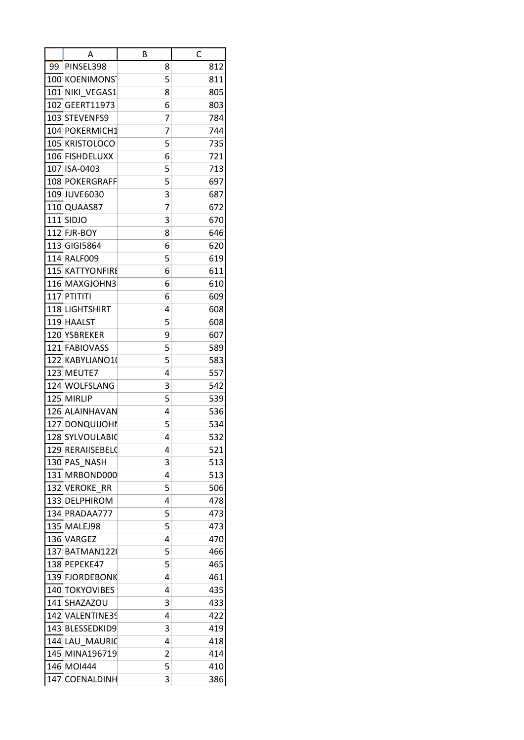|     | Α                  | В | C   |
|-----|--------------------|---|-----|
| 99  | PINSEL398          | 8 | 812 |
|     | 100 KOENIMONS      | 5 | 811 |
| 101 | NIKI VEGAS1        | 8 | 805 |
| 102 | GEERT11973         | 6 | 803 |
|     | 103 STEVENFS9      | 7 | 784 |
|     | 104 POKERMICH1     | 7 | 744 |
|     | 105 KRISTOLOCO     | 5 | 735 |
|     | 106 FISHDELUXX     | 6 | 721 |
|     | 107 ISA-0403       | 5 | 713 |
|     | 108 POKERGRAFF     | 5 | 697 |
|     | 109 JUVE6030       | 3 | 687 |
|     | 110 QUAAS87        | 7 | 672 |
| 111 | <b>SIDJO</b>       | 3 | 670 |
|     | 112 FJR-BOY        | 8 | 646 |
|     | 113 GIGI5864       | 6 | 620 |
|     | 114 RALF009        | 5 | 619 |
|     | 115 KATTYONFIRE    | 6 | 611 |
|     | 116 MAXGJOHN3      | 6 | 610 |
| 117 | PTITITI            | 6 | 609 |
|     | 118 LIGHTSHIRT     | 4 | 608 |
|     | 119 HAALST         | 5 | 608 |
|     | 120 YSBREKER       | 9 | 607 |
| 121 | <b>FABIOVASS</b>   | 5 | 589 |
|     | 122 KABYLIANO1(    | 5 | 583 |
| 123 | MEUTE7             | 4 | 557 |
| 124 | WOLFSLANG          | 3 | 542 |
| 125 | <b>MIRLIP</b>      | 5 | 539 |
|     | 126 ALAINHAVAN     | 4 | 536 |
|     | 127 DONQUIJOHN     | 5 | 534 |
|     | 128SYLVOULABIO     | 4 | 532 |
|     | 129 RERAIISEBELG   | 4 | 521 |
|     | 130 PAS NASH       | 3 | 513 |
|     | 131 MRBOND000      | 4 | 513 |
|     | 132 VEROKE RR      | 5 | 506 |
|     | 133 DELPHIROM      | 4 | 478 |
|     | 134 PRADAA777      | 5 | 473 |
|     | 135 MALEJ98        | 5 | 473 |
|     | 136 VARGEZ         | 4 | 470 |
|     | 137 BATMAN1220     | 5 | 466 |
|     | 138 PEPEKE47       | 5 | 465 |
|     | 139 FJORDEBONK     | 4 | 461 |
|     | 140 TOKYOVIBES     | 4 | 435 |
|     | 141 SHAZAZOU       | 3 | 433 |
| 142 | <b>VALENTINE39</b> | 4 | 422 |
|     | 143 BLESSEDKID9    | 3 | 419 |
|     | 144 LAU MAURIC     | 4 | 418 |
|     | 145 MINA196719     | 2 | 414 |
|     | 146 MOI444         | 5 | 410 |
| 147 | COENALDINH         | 3 | 386 |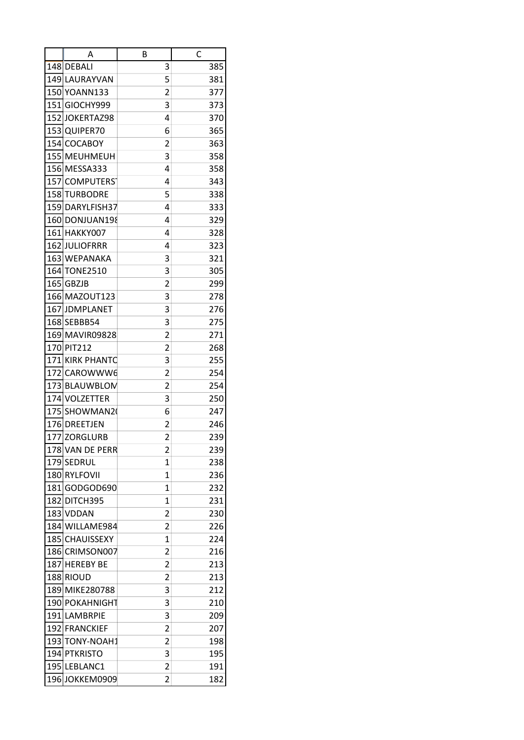|     | Α                | В                       | C   |
|-----|------------------|-------------------------|-----|
|     | 148 DEBALI       | 3                       | 385 |
|     | 149 LAURAYVAN    | 5                       | 381 |
|     | 150 YOANN133     | 2                       | 377 |
| 151 | GIOCHY999        | 3                       | 373 |
| 152 | JOKERTAZ98       | 4                       | 370 |
|     | 153 QUIPER70     | 6                       | 365 |
|     | 154 COCABOY      | 2                       | 363 |
| 155 | <b>MEUHMEUH</b>  | 3                       | 358 |
|     | 156 MESSA333     | 4                       | 358 |
|     | 157 COMPUTERS    | 4                       | 343 |
| 158 | <b>TURBODRE</b>  | 5                       | 338 |
|     | 159 DARYLFISH37  | 4                       | 333 |
| 160 | DONJUAN198       | 4                       | 329 |
| 161 | HAKKY007         | 4                       | 328 |
| 162 | <b>JULIOFRRR</b> | 4                       | 323 |
|     | 163 WEPANAKA     | 3                       | 321 |
|     | 164 TONE2510     | 3                       | 305 |
| 165 | <b>GBZJB</b>     | 2                       | 299 |
|     | 166 MAZOUT123    | 3                       | 278 |
| 167 | <b>JDMPLANET</b> | 3                       | 276 |
|     | 168 SEBBB54      | 3                       | 275 |
|     | 169 MAVIR09828   | $\overline{c}$          | 271 |
|     | 170 PIT212       | 2                       | 268 |
|     | 171 KIRK PHANTC  | 3                       | 255 |
| 172 | CAROWWW6         | 2                       | 254 |
|     | 173 BLAUWBLOM    | 2                       | 254 |
| 174 | <b>VOLZETTER</b> | 3                       | 250 |
| 175 | SHOWMAN20        | 6                       | 247 |
|     | 176 DREETJEN     | 2                       | 246 |
|     | 177 ZORGLURB     | $\overline{\mathbf{c}}$ | 239 |
|     | 178 VAN DE PERR  | $\overline{c}$          | 239 |
| 179 | SEDRUL           | 1                       | 238 |
|     | 180 RYLFOVII     | 1                       | 236 |
|     | 181GODGOD690     | $\mathbf{1}$            | 232 |
|     | 182 DITCH395     | 1                       | 231 |
|     | 183 VDDAN        | 2                       | 230 |
|     | 184 WILLAME984   | 2                       | 226 |
|     | 185 CHAUISSEXY   | 1                       | 224 |
|     | 186 CRIMSON007   | 2                       | 216 |
|     | 187 HEREBY BE    | 2                       | 213 |
|     | 188 RIOUD        | $\overline{c}$          | 213 |
|     | 189 MIKE280788   | 3                       | 212 |
|     | 190 POKAHNIGHT   | 3                       | 210 |
|     | 191 LAMBRPIE     | 3                       | 209 |
|     | 192 FRANCKIEF    | 2                       | 207 |
| 193 | TONY-NOAH1       | 2                       | 198 |
|     | 194 PTKRISTO     | 3                       | 195 |
|     | 195 LEBLANC1     | 2                       | 191 |
| 196 | JOKKEM0909       | 2                       | 182 |